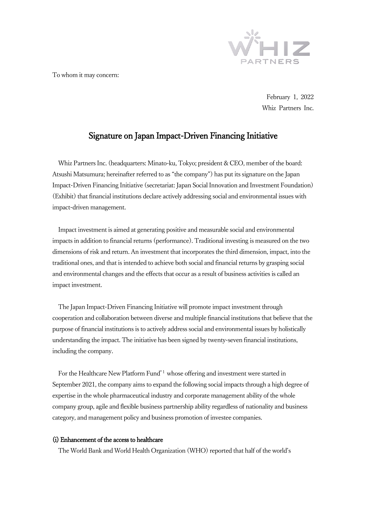

To whom it may concern:

February 1, 2022 Whiz Partners Inc.

# Signature on Japan Impact-Driven Financing Initiative

Whiz Partners Inc. (headquarters: Minato-ku, Tokyo; president & CEO, member of the board: Atsushi Matsumura; hereinafter referred to as "the company") has put its signature on the Japan Impact-Driven Financing Initiative (secretariat: Japan Social Innovation and Investment Foundation) (Exhibit) that financial institutions declare actively addressing social and environmental issues with impact-driven management.

Impact investment is aimed at generating positive and measurable social and environmental impacts in addition to financial returns (performance). Traditional investing is measured on the two dimensions of risk and return. An investment that incorporates the third dimension, impact, into the traditional ones, and that is intended to achieve both social and financial returns by grasping social and environmental changes and the effects that occur as a result of business activities is called an impact investment.

The Japan Impact-Driven Financing Initiative will promote impact investment through cooperation and collaboration between diverse and multiple financial institutions that believe that the purpose of financial institutions is to actively address social and environmental issues by holistically understanding the impact. The initiative has been signed by twenty-seven financial institutions, including the company.

For the Healthcare New Platform Fund<sup>\*1</sup> whose offering and investment were started in September 2021, the company aims to expand the following social impacts through a high degree of expertise in the whole pharmaceutical industry and corporate management ability of the whole company group, agile and flexible business partnership ability regardless of nationality and business category, and management policy and business promotion of investee companies.

# (i) Enhancement of the access to healthcare

The World Bank and World Health Organization (WHO) reported that half of the world's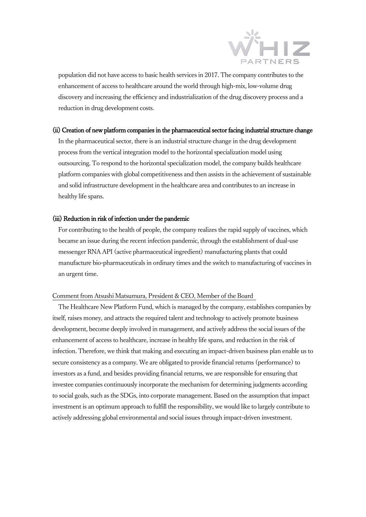

population did not have access to basic health services in 2017. The company contributes to the enhancement of access to healthcare around the world through high-mix, low-volume drug discovery and increasing the efficiency and industrialization of the drug discovery process and a reduction in drug development costs.

#### (ii) Creation of new platform companies in the pharmaceutical sector facing industrial structure change

In the pharmaceutical sector, there is an industrial structure change in the drug development process from the vertical integration model to the horizontal specialization model using outsourcing. To respond to the horizontal specialization model, the company builds healthcare platform companies with global competitiveness and then assists in the achievement of sustainable and solid infrastructure development in the healthcare area and contributes to an increase in healthy life spans.

## (iii) Reduction in risk of infection under the pandemic

For contributing to the health of people, the company realizes the rapid supply of vaccines, which became an issue during the recent infection pandemic, through the establishment of dual-use messenger RNA API (active pharmaceutical ingredient) manufacturing plants that could manufacture bio-pharmaceuticals in ordinary times and the switch to manufacturing of vaccines in an urgent time.

### Comment from Atsushi Matsumura, President & CEO, Member of the Board

The Healthcare New Platform Fund, which is managed by the company, establishes companies by itself, raises money, and attracts the required talent and technology to actively promote business development, become deeply involved in management, and actively address the social issues of the enhancement of access to healthcare, increase in healthy life spans, and reduction in the risk of infection. Therefore, we think that making and executing an impact-driven business plan enable us to secure consistency as a company. We are obligated to provide financial returns (performance) to investors as a fund, and besides providing financial returns, we are responsible for ensuring that investee companies continuously incorporate the mechanism for determining judgments according to social goals, such as the SDGs, into corporate management.Based on the assumption that impact investment is an optimum approach to fulfill the responsibility, we would like to largely contribute to actively addressing global environmental and social issues through impact-driven investment.